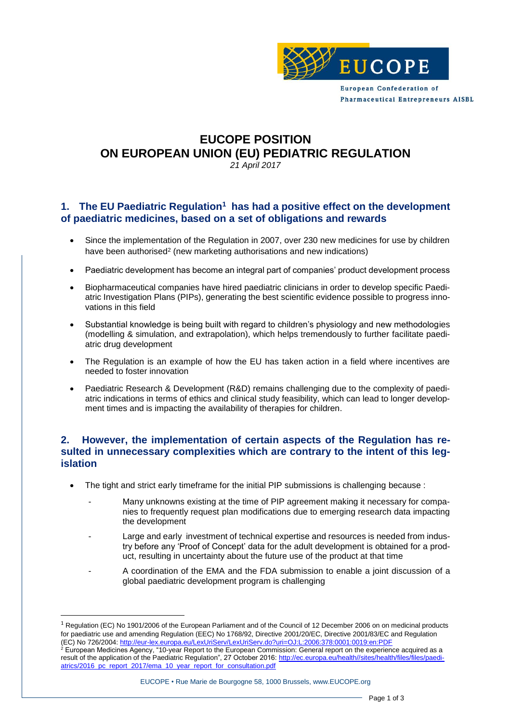

## **EUCOPE POSITION ON EUROPEAN UNION (EU) PEDIATRIC REGULATION** *21 April 2017*

## **1. The EU Paediatric Regulation<sup>1</sup> has had a positive effect on the development of paediatric medicines, based on a set of obligations and rewards**

- Since the implementation of the Regulation in 2007, over 230 new medicines for use by children have been authorised<sup>2</sup> (new marketing authorisations and new indications)
- Paediatric development has become an integral part of companies' product development process
- Biopharmaceutical companies have hired paediatric clinicians in order to develop specific Paediatric Investigation Plans (PIPs), generating the best scientific evidence possible to progress innovations in this field
- Substantial knowledge is being built with regard to children's physiology and new methodologies (modelling & simulation, and extrapolation), which helps tremendously to further facilitate paediatric drug development
- The Regulation is an example of how the EU has taken action in a field where incentives are needed to foster innovation
- Paediatric Research & Development (R&D) remains challenging due to the complexity of paediatric indications in terms of ethics and clinical study feasibility, which can lead to longer development times and is impacting the availability of therapies for children.

## **2. However, the implementation of certain aspects of the Regulation has resulted in unnecessary complexities which are contrary to the intent of this legislation**

- The tight and strict early timeframe for the initial PIP submissions is challenging because :
	- Many unknowns existing at the time of PIP agreement making it necessary for companies to frequently request plan modifications due to emerging research data impacting the development
	- Large and early investment of technical expertise and resources is needed from industry before any 'Proof of Concept' data for the adult development is obtained for a product, resulting in uncertainty about the future use of the product at that time
	- A coordination of the EMA and the FDA submission to enable a joint discussion of a global paediatric development program is challenging

 $\overline{a}$ 

#### EUCOPE • Rue Marie de Bourgogne 58, 1000 Brussels, www.EUCOPE.org

 $1$  Regulation (EC) No 1901/2006 of the European Parliament and of the Council of 12 December 2006 on on medicinal products for paediatric use and amending Regulation (EEC) No 1768/92, Directive 2001/20/EC, Directive 2001/83/EC and Regulation (EC) No 726/2004:<http://eur-lex.europa.eu/LexUriServ/LexUriServ.do?uri=OJ:L:2006:378:0001:0019:en:PDF>

 $^2$  European Medicines Agency, "10-year Report to the European Commission: General report on the experience acquired as a result of the application of the Paediatric Regulation", 27 October 2016: [http://ec.europa.eu/health//sites/health/files/files/paedi](http://ec.europa.eu/health/sites/health/files/files/paediatrics/2016_pc_report_2017/ema_10_year_report_for_consultation.pdf)[atrics/2016\\_pc\\_report\\_2017/ema\\_10\\_year\\_report\\_for\\_consultation.pdf](http://ec.europa.eu/health/sites/health/files/files/paediatrics/2016_pc_report_2017/ema_10_year_report_for_consultation.pdf)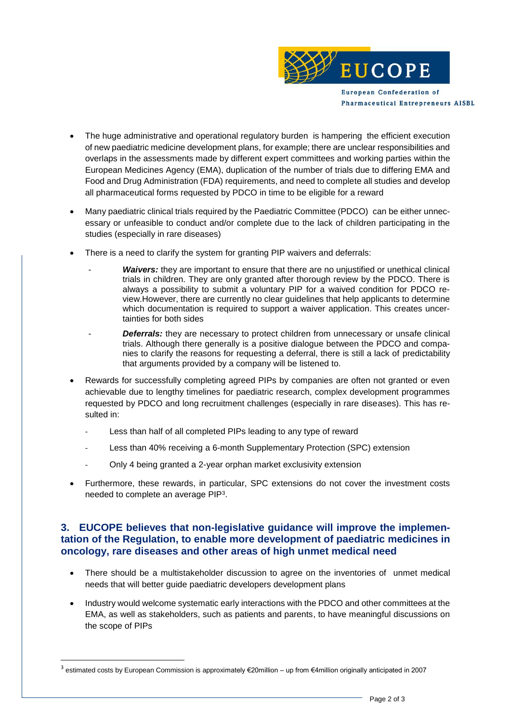

- The huge administrative and operational regulatory burden is hampering the efficient execution of new paediatric medicine development plans, for example; there are unclear responsibilities and overlaps in the assessments made by different expert committees and working parties within the European Medicines Agency (EMA), duplication of the number of trials due to differing EMA and Food and Drug Administration (FDA) requirements, and need to complete all studies and develop all pharmaceutical forms requested by PDCO in time to be eligible for a reward
- Many paediatric clinical trials required by the Paediatric Committee (PDCO) can be either unnecessary or unfeasible to conduct and/or complete due to the lack of children participating in the studies (especially in rare diseases)
- There is a need to clarify the system for granting PIP waivers and deferrals:
	- **Waivers:** they are important to ensure that there are no unjustified or unethical clinical trials in children. They are only granted after thorough review by the PDCO. There is always a possibility to submit a voluntary PIP for a waived condition for PDCO review.However, there are currently no clear guidelines that help applicants to determine which documentation is required to support a waiver application. This creates uncertainties for both sides
	- **Deferrals:** they are necessary to protect children from unnecessary or unsafe clinical trials. Although there generally is a positive dialogue between the PDCO and companies to clarify the reasons for requesting a deferral, there is still a lack of predictability that arguments provided by a company will be listened to.
- Rewards for successfully completing agreed PIPs by companies are often not granted or even achievable due to lengthy timelines for paediatric research, complex development programmes requested by PDCO and long recruitment challenges (especially in rare diseases). This has resulted in:
	- Less than half of all completed PIPs leading to any type of reward
	- Less than 40% receiving a 6-month Supplementary Protection (SPC) extension
	- Only 4 being granted a 2-year orphan market exclusivity extension
- Furthermore, these rewards, in particular, SPC extensions do not cover the investment costs needed to complete an average PIP<sup>3</sup>.

## **3. EUCOPE believes that non-legislative guidance will improve the implementation of the Regulation, to enable more development of paediatric medicines in oncology, rare diseases and other areas of high unmet medical need**

- There should be a multistakeholder discussion to agree on the inventories of unmet medical needs that will better guide paediatric developers development plans
- Industry would welcome systematic early interactions with the PDCO and other committees at the EMA, as well as stakeholders, such as patients and parents, to have meaningful discussions on the scope of PIPs

<sup>&</sup>lt;sup>3</sup> estimated costs by European Commission is approximately €20million – up from €4million originally anticipated in 2007